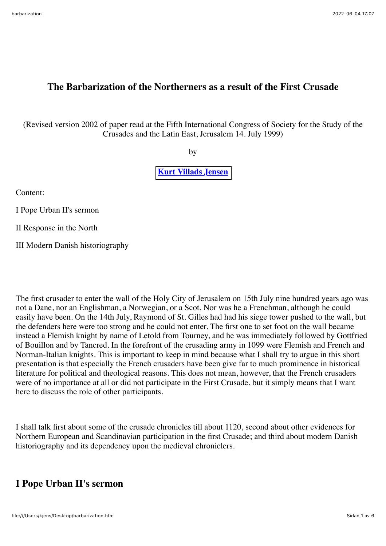### **The Barbarization of the Northerners as a result of the First Crusade**

(Revised version 2002 of paper read at the Fifth International Congress of Society for the Study of the Crusades and the Latin East, Jerusalem 14. July 1999)

by

#### **[Kurt Villads Jensen](http://kurtvillads.dk)**

Content:

I Pope Urban II's sermon

II Response in the North

III Modern Danish historiography

The first crusader to enter the wall of the Holy City of Jerusalem on 15th July nine hundred years ago was not a Dane, nor an Englishman, a Norwegian, or a Scot. Nor was he a Frenchman, although he could easily have been. On the 14th July, Raymond of St. Gilles had had his siege tower pushed to the wall, but the defenders here were too strong and he could not enter. The first one to set foot on the wall became instead a Flemish knight by name of Letold from Tourney, and he was immediately followed by Gottfried of Bouillon and by Tancred. In the forefront of the crusading army in 1099 were Flemish and French and Norman-Italian knights. This is important to keep in mind because what I shall try to argue in this short presentation is that especially the French crusaders have been give far to much prominence in historical literature for political and theological reasons. This does not mean, however, that the French crusaders were of no importance at all or did not participate in the First Crusade, but it simply means that I want here to discuss the role of other participants.

I shall talk first about some of the crusade chronicles till about 1120, second about other evidences for Northern European and Scandinavian participation in the first Crusade; and third about modern Danish historiography and its dependency upon the medieval chroniclers.

### **I Pope Urban II's sermon**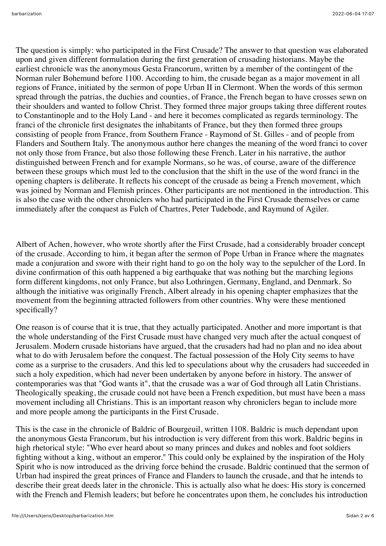The question is simply: who participated in the First Crusade? The answer to that question was elaborated upon and given different formulation during the first generation of crusading historians. Maybe the earliest chronicle was the anonymous Gesta Francorum, written by a member of the contingent of the Norman ruler Bohemund before 1100. According to him, the crusade began as a major movement in all regions of France, initiated by the sermon of pope Urban II in Clermont. When the words of this sermon spread through the patrias, the duchies and counties, of France, the French began to have crosses sewn on their shoulders and wanted to follow Christ. They formed three major groups taking three different routes to Constantinople and to the Holy Land - and here it becomes complicated as regards terminology. The franci of the chronicle first designates the inhabitants of France, but they then formed three groups consisting of people from France, from Southern France - Raymond of St. Gilles - and of people from Flanders and Southern Italy. The anonymous author here changes the meaning of the word franci to cover not only those from France, but also those following these French. Later in his narrative, the author distinguished between French and for example Normans, so he was, of course, aware of the difference between these groups which must led to the conclusion that the shift in the use of the word franci in the opening chapters is deliberate. It reflects his concept of the crusade as being a French movement, which was joined by Norman and Flemish princes. Other participants are not mentioned in the introduction. This is also the case with the other chroniclers who had participated in the First Crusade themselves or came immediately after the conquest as Fulch of Chartres, Peter Tudebode, and Raymund of Agiler.

Albert of Achen, however, who wrote shortly after the First Crusade, had a considerably broader concept of the crusade. According to him, it began after the sermon of Pope Urban in France where the magnates made a conjuration and swore with their right hand to go on the holy way to the sepulcher of the Lord. In divine confirmation of this oath happened a big earthquake that was nothing but the marching legions form different kingdoms, not only France, but also Lothringen, Germany, England, and Denmark. So although the initiative was originally French, Albert already in his opening chapter emphasizes that the movement from the beginning attracted followers from other countries. Why were these mentioned specifically?

One reason is of course that it is true, that they actually participated. Another and more important is that the whole understanding of the First Crusade must have changed very much after the actual conquest of Jerusalem. Modern crusade historians have argued, that the crusaders had had no plan and no idea about what to do with Jerusalem before the conquest. The factual possession of the Holy City seems to have come as a surprise to the crusaders. And this led to speculations about why the crusaders had succeeded in such a holy expedition, which had never been undertaken by anyone before in history. The answer of contemporaries was that "God wants it", that the crusade was a war of God through all Latin Christians. Theologically speaking, the crusade could not have been a French expedition, but must have been a mass movement including all Christians. This is an important reason why chroniclers began to include more and more people among the participants in the First Crusade.

This is the case in the chronicle of Baldric of Bourgeuil, written 1108. Baldric is much dependant upon the anonymous Gesta Francorum, but his introduction is very different from this work. Baldric begins in high rhetorical style: "Who ever heard about so many princes and dukes and nobles and foot soldiers fighting without a king, without an emperor." This could only be explained by the inspiration of the Holy Spirit who is now introduced as the driving force behind the crusade. Baldric continued that the sermon of Urban had inspired the great princes of France and Flanders to launch the crusade, and that he intends to describe their great deeds later in the chronicle. This is actually also what he does: His story is concerned with the French and Flemish leaders; but before he concentrates upon them, he concludes his introduction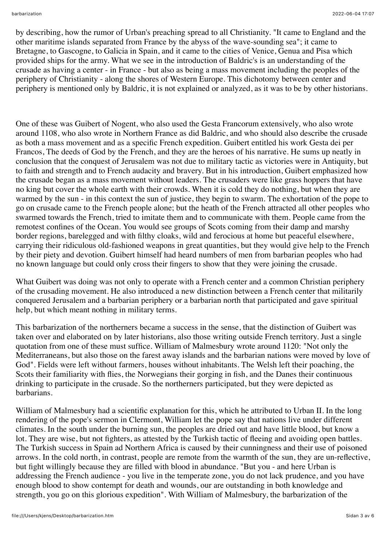by describing, how the rumor of Urban's preaching spread to all Christianity. "It came to England and the other maritime islands separated from France by the abyss of the wave-sounding sea"; it came to Bretagne, to Gascogne, to Galicia in Spain, and it came to the cities of Venice, Genua and Pisa which provided ships for the army. What we see in the introduction of Baldric's is an understanding of the crusade as having a center - in France - but also as being a mass movement including the peoples of the periphery of Christianity - along the shores of Western Europe. This dichotomy between center and periphery is mentioned only by Baldric, it is not explained or analyzed, as it was to be by other historians.

One of these was Guibert of Nogent, who also used the Gesta Francorum extensively, who also wrote around 1108, who also wrote in Northern France as did Baldric, and who should also describe the crusade as both a mass movement and as a specific French expedition. Guibert entitled his work Gesta dei per Francos, The deeds of God by the French, and they are the heroes of his narrative. He sums up neatly in conclusion that the conquest of Jerusalem was not due to military tactic as victories were in Antiquity, but to faith and strength and to French audacity and bravery. But in his introduction, Guibert emphasized how the crusade began as a mass movement without leaders. The crusaders were like grass hoppers that have no king but cover the whole earth with their crowds. When it is cold they do nothing, but when they are warmed by the sun - in this context the sun of justice, they begin to swarm. The exhortation of the pope to go on crusade came to the French people alone; but the heath of the French attracted all other peoples who swarmed towards the French, tried to imitate them and to communicate with them. People came from the remotest confines of the Ocean. You would see groups of Scots coming from their damp and marshy border regions, barelegged and with filthy cloaks, wild and ferocious at home but peaceful elsewhere, carrying their ridiculous old-fashioned weapons in great quantities, but they would give help to the French by their piety and devotion. Guibert himself had heard numbers of men from barbarian peoples who had no known language but could only cross their fingers to show that they were joining the crusade.

What Guibert was doing was not only to operate with a French center and a common Christian periphery of the crusading movement. He also introduced a new distinction between a French center that militarily conquered Jerusalem and a barbarian periphery or a barbarian north that participated and gave spiritual help, but which meant nothing in military terms.

This barbarization of the northerners became a success in the sense, that the distinction of Guibert was taken over and elaborated on by later historians, also those writing outside French territory. Just a single quotation from one of these must suffice. William of Malmesbury wrote around 1120: "Not only the Mediterraneans, but also those on the farest away islands and the barbarian nations were moved by love of God". Fields were left without farmers, houses without inhabitants. The Welsh left their poaching, the Scots their familiarity with flies, the Norwegians their gorging in fish, and the Danes their continuous drinking to participate in the crusade. So the northerners participated, but they were depicted as barbarians.

William of Malmesbury had a scientific explanation for this, which he attributed to Urban II. In the long rendering of the pope's sermon in Clermont, William let the pope say that nations live under different climates. In the south under the burning sun, the peoples are dried out and have little blood, but know a lot. They are wise, but not fighters, as attested by the Turkish tactic of fleeing and avoiding open battles. The Turkish success in Spain ad Northern Africa is caused by their cunningness and their use of poisoned arrows. In the cold north, in contrast, people are remote from the warmth of the sun, they are un-reflective, but fight willingly because they are filled with blood in abundance. "But you - and here Urban is addressing the French audience - you live in the temperate zone, you do not lack prudence, and you have enough blood to show contempt for death and wounds, our are outstanding in both knowledge and strength, you go on this glorious expedition". With William of Malmesbury, the barbarization of the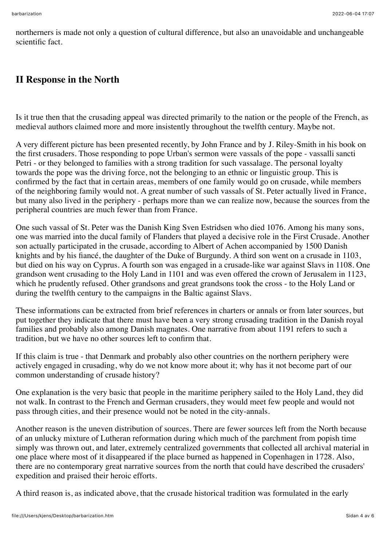northerners is made not only a question of cultural difference, but also an unavoidable and unchangeable scientific fact.

## **II Response in the North**

Is it true then that the crusading appeal was directed primarily to the nation or the people of the French, as medieval authors claimed more and more insistently throughout the twelfth century. Maybe not.

A very different picture has been presented recently, by John France and by J. Riley-Smith in his book on the first crusaders. Those responding to pope Urban's sermon were vassals of the pope - vassalli sancti Petri - or they belonged to families with a strong tradition for such vassalage. The personal loyalty towards the pope was the driving force, not the belonging to an ethnic or linguistic group. This is confirmed by the fact that in certain areas, members of one family would go on crusade, while members of the neighboring family would not. A great number of such vassals of St. Peter actually lived in France, but many also lived in the periphery - perhaps more than we can realize now, because the sources from the peripheral countries are much fewer than from France.

One such vassal of St. Peter was the Danish King Sven Estridsen who died 1076. Among his many sons, one was married into the ducal family of Flanders that played a decisive role in the First Crusade. Another son actually participated in the crusade, according to Albert of Achen accompanied by 1500 Danish knights and by his fiancé, the daughter of the Duke of Burgundy. A third son went on a crusade in 1103, but died on his way on Cyprus. A fourth son was engaged in a crusade-like war against Slavs in 1108. One grandson went crusading to the Holy Land in 1101 and was even offered the crown of Jerusalem in 1123, which he prudently refused. Other grandsons and great grandsons took the cross - to the Holy Land or during the twelfth century to the campaigns in the Baltic against Slavs.

These informations can be extracted from brief references in charters or annals or from later sources, but put together they indicate that there must have been a very strong crusading tradition in the Danish royal families and probably also among Danish magnates. One narrative from about 1191 refers to such a tradition, but we have no other sources left to confirm that.

If this claim is true - that Denmark and probably also other countries on the northern periphery were actively engaged in crusading, why do we not know more about it; why has it not become part of our common understanding of crusade history?

One explanation is the very basic that people in the maritime periphery sailed to the Holy Land, they did not walk. In contrast to the French and German crusaders, they would meet few people and would not pass through cities, and their presence would not be noted in the city-annals.

Another reason is the uneven distribution of sources. There are fewer sources left from the North because of an unlucky mixture of Lutheran reformation during which much of the parchment from popish time simply was thrown out, and later, extremely centralized governments that collected all archival material in one place where most of it disappeared if the place burned as happened in Copenhagen in 1728. Also, there are no contemporary great narrative sources from the north that could have described the crusaders' expedition and praised their heroic efforts.

A third reason is, as indicated above, that the crusade historical tradition was formulated in the early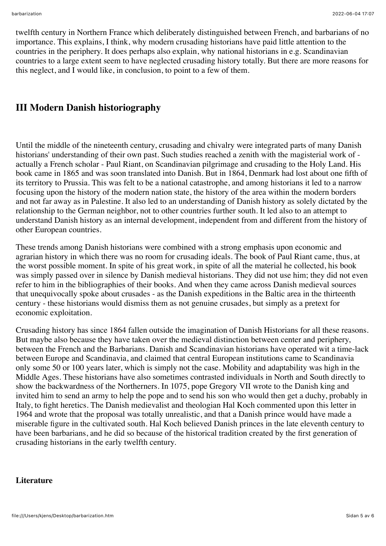twelfth century in Northern France which deliberately distinguished between French, and barbarians of no importance. This explains, I think, why modern crusading historians have paid little attention to the countries in the periphery. It does perhaps also explain, why national historians in e.g. Scandinavian countries to a large extent seem to have neglected crusading history totally. But there are more reasons for this neglect, and I would like, in conclusion, to point to a few of them.

# **III Modern Danish historiography**

Until the middle of the nineteenth century, crusading and chivalry were integrated parts of many Danish historians' understanding of their own past. Such studies reached a zenith with the magisterial work of actually a French scholar - Paul Riant, on Scandinavian pilgrimage and crusading to the Holy Land. His book came in 1865 and was soon translated into Danish. But in 1864, Denmark had lost about one fifth of its territory to Prussia. This was felt to be a national catastrophe, and among historians it led to a narrow focusing upon the history of the modern nation state, the history of the area within the modern borders and not far away as in Palestine. It also led to an understanding of Danish history as solely dictated by the relationship to the German neighbor, not to other countries further south. It led also to an attempt to understand Danish history as an internal development, independent from and different from the history of other European countries.

These trends among Danish historians were combined with a strong emphasis upon economic and agrarian history in which there was no room for crusading ideals. The book of Paul Riant came, thus, at the worst possible moment. In spite of his great work, in spite of all the material he collected, his book was simply passed over in silence by Danish medieval historians. They did not use him; they did not even refer to him in the bibliographies of their books. And when they came across Danish medieval sources that unequivocally spoke about crusades - as the Danish expeditions in the Baltic area in the thirteenth century - these historians would dismiss them as not genuine crusades, but simply as a pretext for economic exploitation.

Crusading history has since 1864 fallen outside the imagination of Danish Historians for all these reasons. But maybe also because they have taken over the medieval distinction between center and periphery, between the French and the Barbarians. Danish and Scandinavian historians have operated wit a time-lack between Europe and Scandinavia, and claimed that central European institutions came to Scandinavia only some 50 or 100 years later, which is simply not the case. Mobility and adaptability was high in the Middle Ages. These historians have also sometimes contrasted individuals in North and South directly to show the backwardness of the Northerners. In 1075, pope Gregory VII wrote to the Danish king and invited him to send an army to help the pope and to send his son who would then get a duchy, probably in Italy, to fight heretics. The Danish medievalist and theologian Hal Koch commented upon this letter in 1964 and wrote that the proposal was totally unrealistic, and that a Danish prince would have made a miserable figure in the cultivated south. Hal Koch believed Danish princes in the late eleventh century to have been barbarians, and he did so because of the historical tradition created by the first generation of crusading historians in the early twelfth century.

#### **Literature**